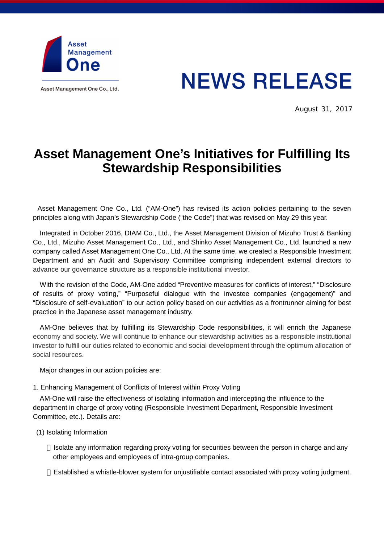

Asset Management One Co., Ltd.

# **NEWS RELEASE**

August 31, 2017

## **Asset Management One's Initiatives for Fulfilling Its Stewardship Responsibilities**

Asset Management One Co., Ltd. ("AM-One") has revised its action policies pertaining to the seven principles along with Japan's Stewardship Code ("the Code") that was revised on May 29 this year.

Integrated in October 2016, DIAM Co., Ltd., the Asset Management Division of Mizuho Trust & Banking Co., Ltd., Mizuho Asset Management Co., Ltd., and Shinko Asset Management Co., Ltd. launched a new company called Asset Management One Co., Ltd. At the same time, we created a Responsible Investment Department and an Audit and Supervisory Committee comprising independent external directors to advance our governance structure as a responsible institutional investor.

With the revision of the Code, AM-One added "Preventive measures for conflicts of interest," "Disclosure of results of proxy voting," "Purposeful dialogue with the investee companies (engagement)" and "Disclosure of self-evaluation" to our action policy based on our activities as a frontrunner aiming for best practice in the Japanese asset management industry.

AM-One believes that by fulfilling its Stewardship Code responsibilities, it will enrich the Japanese economy and society. We will continue to enhance our stewardship activities as a responsible institutional investor to fulfill our duties related to economic and social development through the optimum allocation of social resources.

Major changes in our action policies are:

#### 1. Enhancing Management of Conflicts of Interest within Proxy Voting

AM-One will raise the effectiveness of isolating information and intercepting the influence to the department in charge of proxy voting (Responsible Investment Department, Responsible Investment Committee, etc.). Details are:

(1) Isolating Information

Isolate any information regarding proxy voting for securities between the person in charge and any other employees and employees of intra-group companies.

Established a whistle-blower system for unjustifiable contact associated with proxy voting judgment.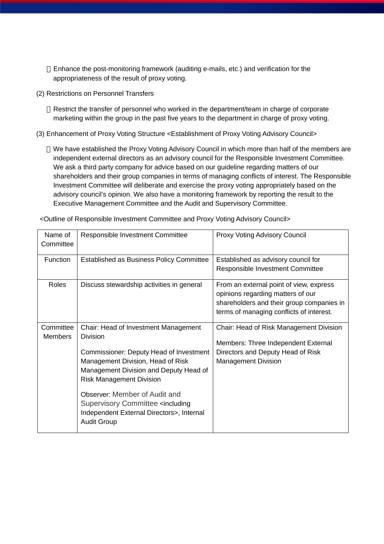Enhance the post-monitoring framework (auditing e-mails, etc.) and verification for the appropriateness of the result of proxy voting.

(2) Restrictions on Personnel Transfers

Restrict the transfer of personnel who worked in the department/team in charge of corporate marketing within the group in the past five years to the department in charge of proxy voting.

(3) Enhancement of Proxy Voting Structure <Establishment of Proxy Voting Advisory Council>

We have established the Proxy Voting Advisory Council in which more than half of the members are independent external directors as an advisory council for the Responsible Investment Committee. We ask a third party company for advice based on our guideline regarding matters of our shareholders and their group companies in terms of managing conflicts of interest. The Responsible Investment Committee will deliberate and exercise the proxy voting appropriately based on the advisory council's opinion. We also have a monitoring framework by reporting the result to the Executive Management Committee and the Audit and Supervisory Committee.

| Name of<br>Committee        | Responsible Investment Committee                                                                                                                                                                                                                                                                                                                                                | <b>Proxy Voting Advisory Council</b>                                                                                                                                  |
|-----------------------------|---------------------------------------------------------------------------------------------------------------------------------------------------------------------------------------------------------------------------------------------------------------------------------------------------------------------------------------------------------------------------------|-----------------------------------------------------------------------------------------------------------------------------------------------------------------------|
| Function                    | <b>Established as Business Policy Committee</b>                                                                                                                                                                                                                                                                                                                                 | Established as advisory council for<br>Responsible Investment Committee                                                                                               |
| <b>Roles</b>                | Discuss stewardship activities in general                                                                                                                                                                                                                                                                                                                                       | From an external point of view, express<br>opinions regarding matters of our<br>shareholders and their group companies in<br>terms of managing conflicts of interest. |
| Committee<br><b>Members</b> | Chair: Head of Investment Management<br><b>Division</b><br>Commissioner: Deputy Head of Investment<br>Management Division, Head of Risk<br>Management Division and Deputy Head of<br><b>Risk Management Division</b><br>Observer: Member of Audit and<br>Supervisory Committee <including<br>Independent External Directors&gt;, Internal<br/><b>Audit Group</b></including<br> | Chair: Head of Risk Management Division<br>Members: Three Independent External<br>Directors and Deputy Head of Risk<br><b>Management Division</b>                     |

<Outline of Responsible Investment Committee and Proxy Voting Advisory Council>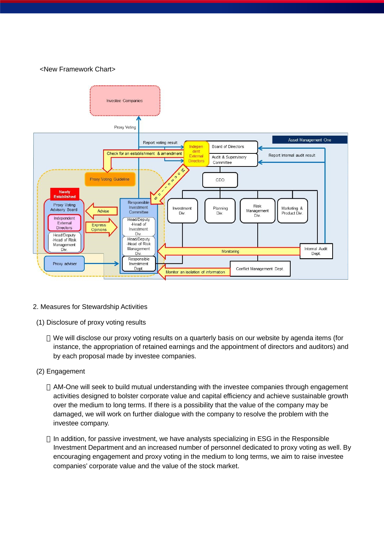#### <New Framework Chart>



- 2. Measures for Stewardship Activities
- (1) Disclosure of proxy voting results

We will disclose our proxy voting results on a quarterly basis on our website by agenda items (for instance, the appropriation of retained earnings and the appointment of directors and auditors) and by each proposal made by investee companies.

(2) Engagement

AM-One will seek to build mutual understanding with the investee companies through engagement activities designed to bolster corporate value and capital efficiency and achieve sustainable growth over the medium to long terms. If there is a possibility that the value of the company may be damaged, we will work on further dialogue with the company to resolve the problem with the investee company.

In addition, for passive investment, we have analysts specializing in ESG in the Responsible Investment Department and an increased number of personnel dedicated to proxy voting as well. By encouraging engagement and proxy voting in the medium to long terms, we aim to raise investee companies' corporate value and the value of the stock market.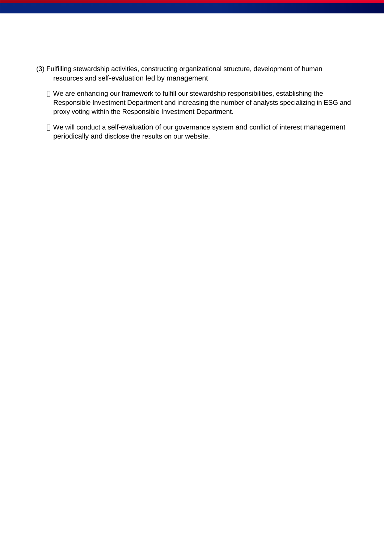(3) Fulfilling stewardship activities, constructing organizational structure, development of human resources and self-evaluation led by management

We are enhancing our framework to fulfill our stewardship responsibilities, establishing the Responsible Investment Department and increasing the number of analysts specializing in ESG and proxy voting within the Responsible Investment Department.

We will conduct a self-evaluation of our governance system and conflict of interest management periodically and disclose the results on our website.